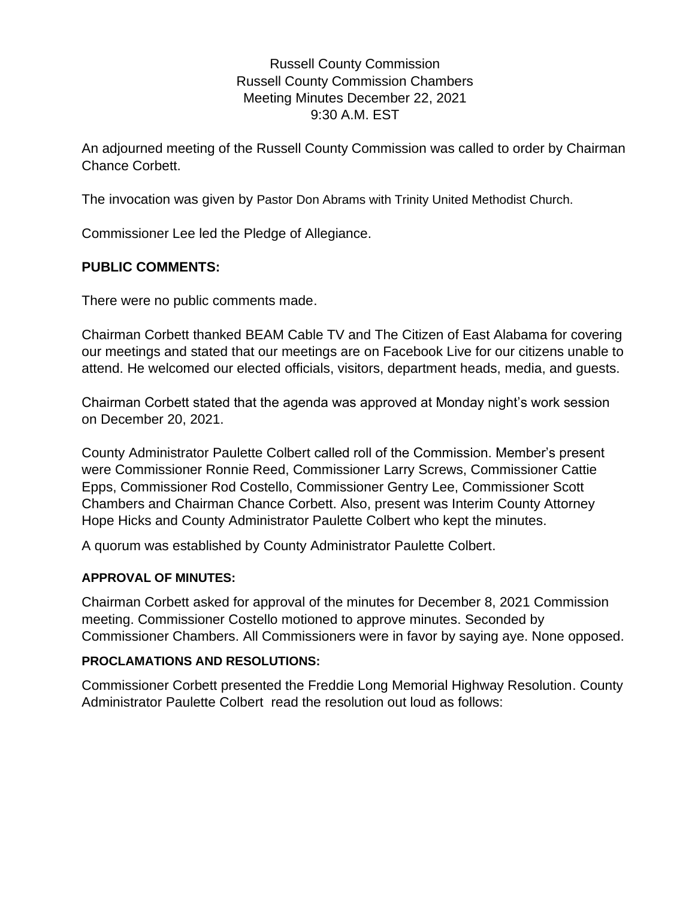## Russell County Commission Russell County Commission Chambers Meeting Minutes December 22, 2021 9:30 A.M. EST

An adjourned meeting of the Russell County Commission was called to order by Chairman Chance Corbett.

The invocation was given by Pastor Don Abrams with Trinity United Methodist Church.

Commissioner Lee led the Pledge of Allegiance.

## **PUBLIC COMMENTS:**

There were no public comments made.

Chairman Corbett thanked BEAM Cable TV and The Citizen of East Alabama for covering our meetings and stated that our meetings are on Facebook Live for our citizens unable to attend. He welcomed our elected officials, visitors, department heads, media, and guests.

Chairman Corbett stated that the agenda was approved at Monday night's work session on December 20, 2021.

County Administrator Paulette Colbert called roll of the Commission. Member's present were Commissioner Ronnie Reed, Commissioner Larry Screws, Commissioner Cattie Epps, Commissioner Rod Costello, Commissioner Gentry Lee, Commissioner Scott Chambers and Chairman Chance Corbett. Also, present was Interim County Attorney Hope Hicks and County Administrator Paulette Colbert who kept the minutes.

A quorum was established by County Administrator Paulette Colbert.

### **APPROVAL OF MINUTES:**

Chairman Corbett asked for approval of the minutes for December 8, 2021 Commission meeting. Commissioner Costello motioned to approve minutes. Seconded by Commissioner Chambers. All Commissioners were in favor by saying aye. None opposed.

### **PROCLAMATIONS AND RESOLUTIONS:**

Commissioner Corbett presented the Freddie Long Memorial Highway Resolution. County Administrator Paulette Colbert read the resolution out loud as follows: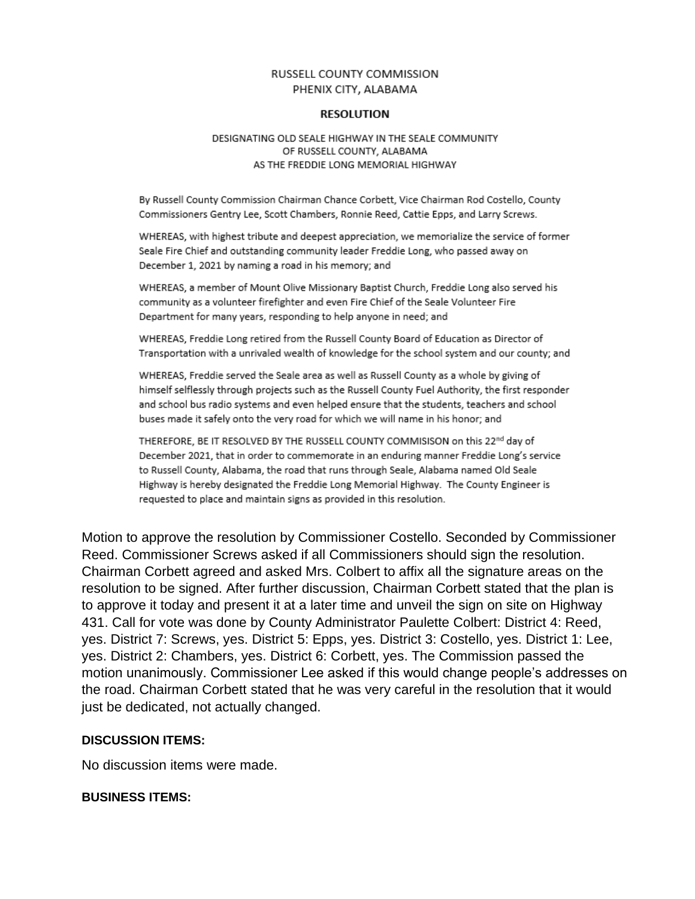#### RUSSELL COUNTY COMMISSION PHENIX CITY, ALABAMA

#### **RESOLUTION**

#### DESIGNATING OLD SEALE HIGHWAY IN THE SEALE COMMUNITY OF RUSSELL COUNTY, ALABAMA AS THE FREDDIE LONG MEMORIAL HIGHWAY

By Russell County Commission Chairman Chance Corbett, Vice Chairman Rod Costello, County Commissioners Gentry Lee, Scott Chambers, Ronnie Reed, Cattie Epps, and Larry Screws.

WHEREAS, with highest tribute and deepest appreciation, we memorialize the service of former Seale Fire Chief and outstanding community leader Freddie Long, who passed away on December 1, 2021 by naming a road in his memory; and

WHEREAS, a member of Mount Olive Missionary Baptist Church, Freddie Long also served his community as a volunteer firefighter and even Fire Chief of the Seale Volunteer Fire Department for many years, responding to help anyone in need; and

WHEREAS, Freddie Long retired from the Russell County Board of Education as Director of Transportation with a unrivaled wealth of knowledge for the school system and our county; and

WHEREAS, Freddie served the Seale area as well as Russell County as a whole by giving of himself selflessly through projects such as the Russell County Fuel Authority, the first responder and school bus radio systems and even helped ensure that the students, teachers and school buses made it safely onto the very road for which we will name in his honor; and

THEREFORE, BE IT RESOLVED BY THE RUSSELL COUNTY COMMISISON on this 22nd day of December 2021, that in order to commemorate in an enduring manner Freddie Long's service to Russell County, Alabama, the road that runs through Seale, Alabama named Old Seale Highway is hereby designated the Freddie Long Memorial Highway. The County Engineer is requested to place and maintain signs as provided in this resolution.

Motion to approve the resolution by Commissioner Costello. Seconded by Commissioner Reed. Commissioner Screws asked if all Commissioners should sign the resolution. Chairman Corbett agreed and asked Mrs. Colbert to affix all the signature areas on the resolution to be signed. After further discussion, Chairman Corbett stated that the plan is to approve it today and present it at a later time and unveil the sign on site on Highway 431. Call for vote was done by County Administrator Paulette Colbert: District 4: Reed, yes. District 7: Screws, yes. District 5: Epps, yes. District 3: Costello, yes. District 1: Lee, yes. District 2: Chambers, yes. District 6: Corbett, yes. The Commission passed the motion unanimously. Commissioner Lee asked if this would change people's addresses on the road. Chairman Corbett stated that he was very careful in the resolution that it would just be dedicated, not actually changed.

#### **DISCUSSION ITEMS:**

No discussion items were made.

#### **BUSINESS ITEMS:**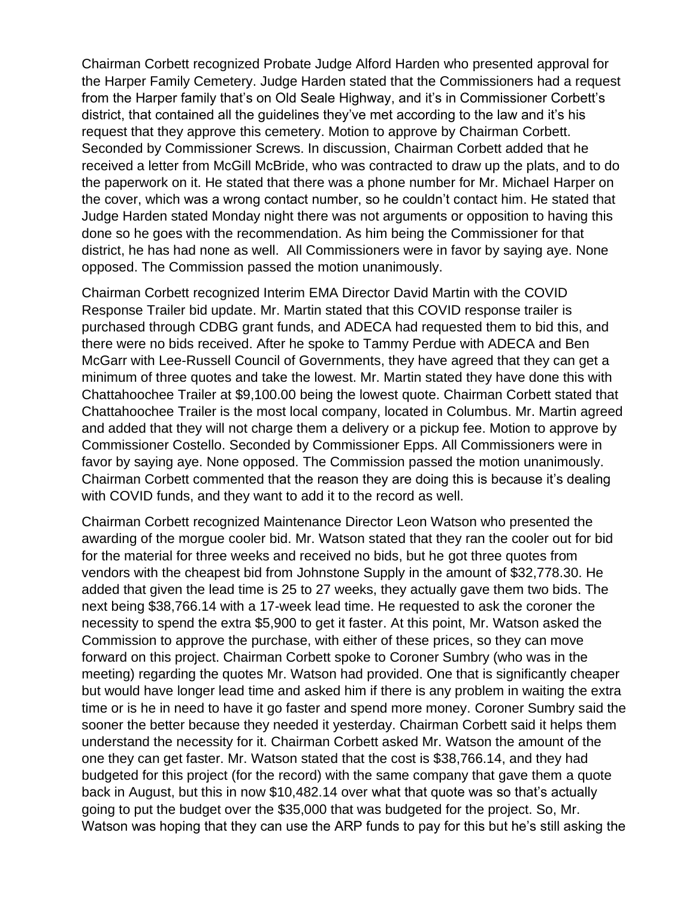Chairman Corbett recognized Probate Judge Alford Harden who presented approval for the Harper Family Cemetery. Judge Harden stated that the Commissioners had a request from the Harper family that's on Old Seale Highway, and it's in Commissioner Corbett's district, that contained all the guidelines they've met according to the law and it's his request that they approve this cemetery. Motion to approve by Chairman Corbett. Seconded by Commissioner Screws. In discussion, Chairman Corbett added that he received a letter from McGill McBride, who was contracted to draw up the plats, and to do the paperwork on it. He stated that there was a phone number for Mr. Michael Harper on the cover, which was a wrong contact number, so he couldn't contact him. He stated that Judge Harden stated Monday night there was not arguments or opposition to having this done so he goes with the recommendation. As him being the Commissioner for that district, he has had none as well. All Commissioners were in favor by saying aye. None opposed. The Commission passed the motion unanimously.

Chairman Corbett recognized Interim EMA Director David Martin with the COVID Response Trailer bid update. Mr. Martin stated that this COVID response trailer is purchased through CDBG grant funds, and ADECA had requested them to bid this, and there were no bids received. After he spoke to Tammy Perdue with ADECA and Ben McGarr with Lee-Russell Council of Governments, they have agreed that they can get a minimum of three quotes and take the lowest. Mr. Martin stated they have done this with Chattahoochee Trailer at \$9,100.00 being the lowest quote. Chairman Corbett stated that Chattahoochee Trailer is the most local company, located in Columbus. Mr. Martin agreed and added that they will not charge them a delivery or a pickup fee. Motion to approve by Commissioner Costello. Seconded by Commissioner Epps. All Commissioners were in favor by saying aye. None opposed. The Commission passed the motion unanimously. Chairman Corbett commented that the reason they are doing this is because it's dealing with COVID funds, and they want to add it to the record as well.

Chairman Corbett recognized Maintenance Director Leon Watson who presented the awarding of the morgue cooler bid. Mr. Watson stated that they ran the cooler out for bid for the material for three weeks and received no bids, but he got three quotes from vendors with the cheapest bid from Johnstone Supply in the amount of \$32,778.30. He added that given the lead time is 25 to 27 weeks, they actually gave them two bids. The next being \$38,766.14 with a 17-week lead time. He requested to ask the coroner the necessity to spend the extra \$5,900 to get it faster. At this point, Mr. Watson asked the Commission to approve the purchase, with either of these prices, so they can move forward on this project. Chairman Corbett spoke to Coroner Sumbry (who was in the meeting) regarding the quotes Mr. Watson had provided. One that is significantly cheaper but would have longer lead time and asked him if there is any problem in waiting the extra time or is he in need to have it go faster and spend more money. Coroner Sumbry said the sooner the better because they needed it yesterday. Chairman Corbett said it helps them understand the necessity for it. Chairman Corbett asked Mr. Watson the amount of the one they can get faster. Mr. Watson stated that the cost is \$38,766.14, and they had budgeted for this project (for the record) with the same company that gave them a quote back in August, but this in now \$10,482.14 over what that quote was so that's actually going to put the budget over the \$35,000 that was budgeted for the project. So, Mr. Watson was hoping that they can use the ARP funds to pay for this but he's still asking the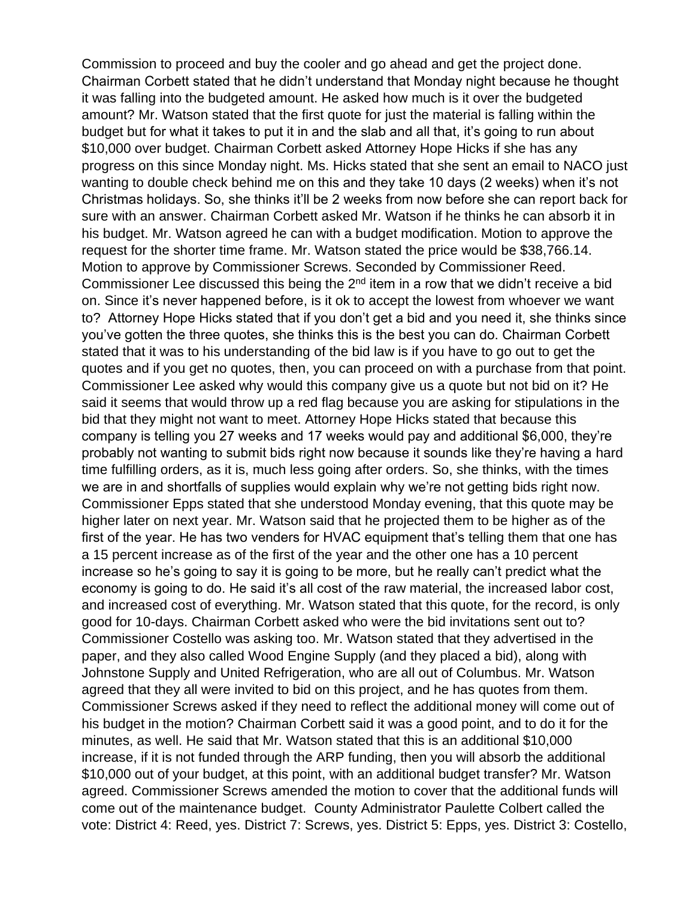Commission to proceed and buy the cooler and go ahead and get the project done. Chairman Corbett stated that he didn't understand that Monday night because he thought it was falling into the budgeted amount. He asked how much is it over the budgeted amount? Mr. Watson stated that the first quote for just the material is falling within the budget but for what it takes to put it in and the slab and all that, it's going to run about \$10,000 over budget. Chairman Corbett asked Attorney Hope Hicks if she has any progress on this since Monday night. Ms. Hicks stated that she sent an email to NACO just wanting to double check behind me on this and they take 10 days (2 weeks) when it's not Christmas holidays. So, she thinks it'll be 2 weeks from now before she can report back for sure with an answer. Chairman Corbett asked Mr. Watson if he thinks he can absorb it in his budget. Mr. Watson agreed he can with a budget modification. Motion to approve the request for the shorter time frame. Mr. Watson stated the price would be \$38,766.14. Motion to approve by Commissioner Screws. Seconded by Commissioner Reed. Commissioner Lee discussed this being the 2<sup>nd</sup> item in a row that we didn't receive a bid on. Since it's never happened before, is it ok to accept the lowest from whoever we want to? Attorney Hope Hicks stated that if you don't get a bid and you need it, she thinks since you've gotten the three quotes, she thinks this is the best you can do. Chairman Corbett stated that it was to his understanding of the bid law is if you have to go out to get the quotes and if you get no quotes, then, you can proceed on with a purchase from that point. Commissioner Lee asked why would this company give us a quote but not bid on it? He said it seems that would throw up a red flag because you are asking for stipulations in the bid that they might not want to meet. Attorney Hope Hicks stated that because this company is telling you 27 weeks and 17 weeks would pay and additional \$6,000, they're probably not wanting to submit bids right now because it sounds like they're having a hard time fulfilling orders, as it is, much less going after orders. So, she thinks, with the times we are in and shortfalls of supplies would explain why we're not getting bids right now. Commissioner Epps stated that she understood Monday evening, that this quote may be higher later on next year. Mr. Watson said that he projected them to be higher as of the first of the year. He has two venders for HVAC equipment that's telling them that one has a 15 percent increase as of the first of the year and the other one has a 10 percent increase so he's going to say it is going to be more, but he really can't predict what the economy is going to do. He said it's all cost of the raw material, the increased labor cost, and increased cost of everything. Mr. Watson stated that this quote, for the record, is only good for 10-days. Chairman Corbett asked who were the bid invitations sent out to? Commissioner Costello was asking too. Mr. Watson stated that they advertised in the paper, and they also called Wood Engine Supply (and they placed a bid), along with Johnstone Supply and United Refrigeration, who are all out of Columbus. Mr. Watson agreed that they all were invited to bid on this project, and he has quotes from them. Commissioner Screws asked if they need to reflect the additional money will come out of his budget in the motion? Chairman Corbett said it was a good point, and to do it for the minutes, as well. He said that Mr. Watson stated that this is an additional \$10,000 increase, if it is not funded through the ARP funding, then you will absorb the additional \$10,000 out of your budget, at this point, with an additional budget transfer? Mr. Watson agreed. Commissioner Screws amended the motion to cover that the additional funds will come out of the maintenance budget. County Administrator Paulette Colbert called the vote: District 4: Reed, yes. District 7: Screws, yes. District 5: Epps, yes. District 3: Costello,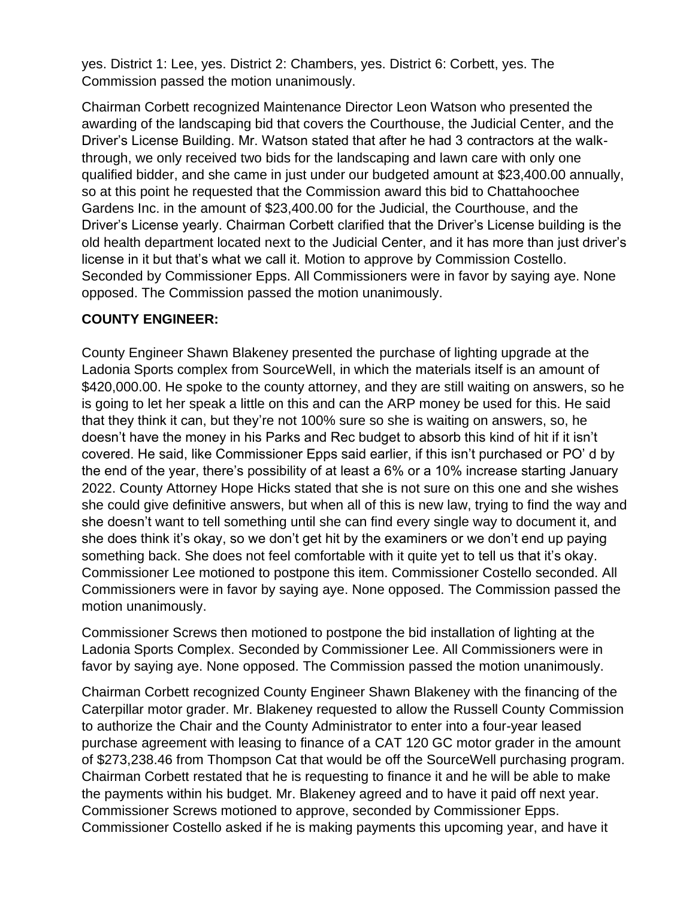yes. District 1: Lee, yes. District 2: Chambers, yes. District 6: Corbett, yes. The Commission passed the motion unanimously.

Chairman Corbett recognized Maintenance Director Leon Watson who presented the awarding of the landscaping bid that covers the Courthouse, the Judicial Center, and the Driver's License Building. Mr. Watson stated that after he had 3 contractors at the walkthrough, we only received two bids for the landscaping and lawn care with only one qualified bidder, and she came in just under our budgeted amount at \$23,400.00 annually, so at this point he requested that the Commission award this bid to Chattahoochee Gardens Inc. in the amount of \$23,400.00 for the Judicial, the Courthouse, and the Driver's License yearly. Chairman Corbett clarified that the Driver's License building is the old health department located next to the Judicial Center, and it has more than just driver's license in it but that's what we call it. Motion to approve by Commission Costello. Seconded by Commissioner Epps. All Commissioners were in favor by saying aye. None opposed. The Commission passed the motion unanimously.

## **COUNTY ENGINEER:**

County Engineer Shawn Blakeney presented the purchase of lighting upgrade at the Ladonia Sports complex from SourceWell, in which the materials itself is an amount of \$420,000.00. He spoke to the county attorney, and they are still waiting on answers, so he is going to let her speak a little on this and can the ARP money be used for this. He said that they think it can, but they're not 100% sure so she is waiting on answers, so, he doesn't have the money in his Parks and Rec budget to absorb this kind of hit if it isn't covered. He said, like Commissioner Epps said earlier, if this isn't purchased or PO' d by the end of the year, there's possibility of at least a 6% or a 10% increase starting January 2022. County Attorney Hope Hicks stated that she is not sure on this one and she wishes she could give definitive answers, but when all of this is new law, trying to find the way and she doesn't want to tell something until she can find every single way to document it, and she does think it's okay, so we don't get hit by the examiners or we don't end up paying something back. She does not feel comfortable with it quite yet to tell us that it's okay. Commissioner Lee motioned to postpone this item. Commissioner Costello seconded. All Commissioners were in favor by saying aye. None opposed. The Commission passed the motion unanimously.

Commissioner Screws then motioned to postpone the bid installation of lighting at the Ladonia Sports Complex. Seconded by Commissioner Lee. All Commissioners were in favor by saying aye. None opposed. The Commission passed the motion unanimously.

Chairman Corbett recognized County Engineer Shawn Blakeney with the financing of the Caterpillar motor grader. Mr. Blakeney requested to allow the Russell County Commission to authorize the Chair and the County Administrator to enter into a four-year leased purchase agreement with leasing to finance of a CAT 120 GC motor grader in the amount of \$273,238.46 from Thompson Cat that would be off the SourceWell purchasing program. Chairman Corbett restated that he is requesting to finance it and he will be able to make the payments within his budget. Mr. Blakeney agreed and to have it paid off next year. Commissioner Screws motioned to approve, seconded by Commissioner Epps. Commissioner Costello asked if he is making payments this upcoming year, and have it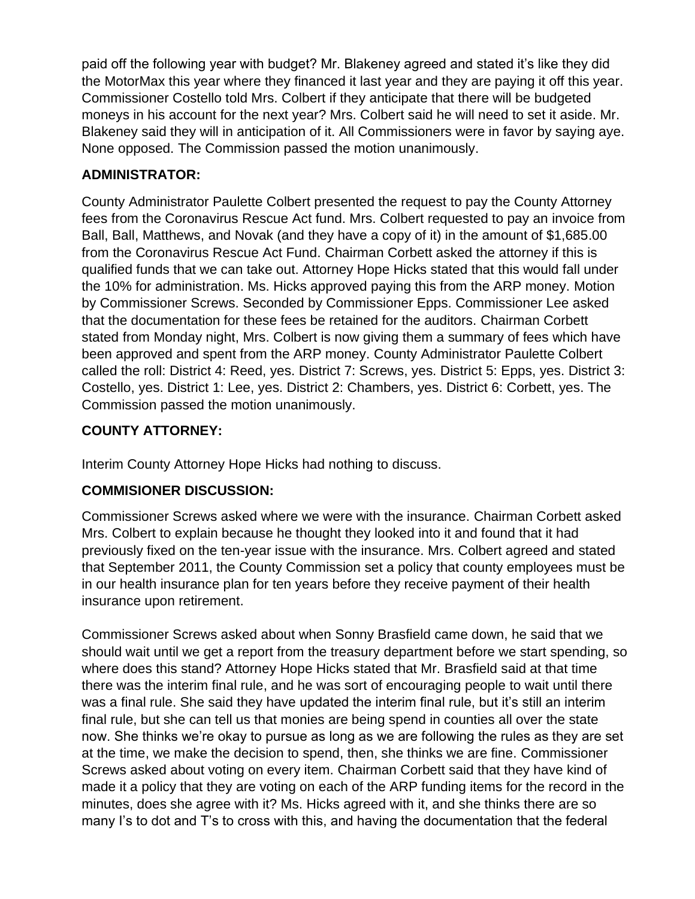paid off the following year with budget? Mr. Blakeney agreed and stated it's like they did the MotorMax this year where they financed it last year and they are paying it off this year. Commissioner Costello told Mrs. Colbert if they anticipate that there will be budgeted moneys in his account for the next year? Mrs. Colbert said he will need to set it aside. Mr. Blakeney said they will in anticipation of it. All Commissioners were in favor by saying aye. None opposed. The Commission passed the motion unanimously.

# **ADMINISTRATOR:**

County Administrator Paulette Colbert presented the request to pay the County Attorney fees from the Coronavirus Rescue Act fund. Mrs. Colbert requested to pay an invoice from Ball, Ball, Matthews, and Novak (and they have a copy of it) in the amount of \$1,685.00 from the Coronavirus Rescue Act Fund. Chairman Corbett asked the attorney if this is qualified funds that we can take out. Attorney Hope Hicks stated that this would fall under the 10% for administration. Ms. Hicks approved paying this from the ARP money. Motion by Commissioner Screws. Seconded by Commissioner Epps. Commissioner Lee asked that the documentation for these fees be retained for the auditors. Chairman Corbett stated from Monday night, Mrs. Colbert is now giving them a summary of fees which have been approved and spent from the ARP money. County Administrator Paulette Colbert called the roll: District 4: Reed, yes. District 7: Screws, yes. District 5: Epps, yes. District 3: Costello, yes. District 1: Lee, yes. District 2: Chambers, yes. District 6: Corbett, yes. The Commission passed the motion unanimously.

# **COUNTY ATTORNEY:**

Interim County Attorney Hope Hicks had nothing to discuss.

# **COMMISIONER DISCUSSION:**

Commissioner Screws asked where we were with the insurance. Chairman Corbett asked Mrs. Colbert to explain because he thought they looked into it and found that it had previously fixed on the ten-year issue with the insurance. Mrs. Colbert agreed and stated that September 2011, the County Commission set a policy that county employees must be in our health insurance plan for ten years before they receive payment of their health insurance upon retirement.

Commissioner Screws asked about when Sonny Brasfield came down, he said that we should wait until we get a report from the treasury department before we start spending, so where does this stand? Attorney Hope Hicks stated that Mr. Brasfield said at that time there was the interim final rule, and he was sort of encouraging people to wait until there was a final rule. She said they have updated the interim final rule, but it's still an interim final rule, but she can tell us that monies are being spend in counties all over the state now. She thinks we're okay to pursue as long as we are following the rules as they are set at the time, we make the decision to spend, then, she thinks we are fine. Commissioner Screws asked about voting on every item. Chairman Corbett said that they have kind of made it a policy that they are voting on each of the ARP funding items for the record in the minutes, does she agree with it? Ms. Hicks agreed with it, and she thinks there are so many I's to dot and T's to cross with this, and having the documentation that the federal